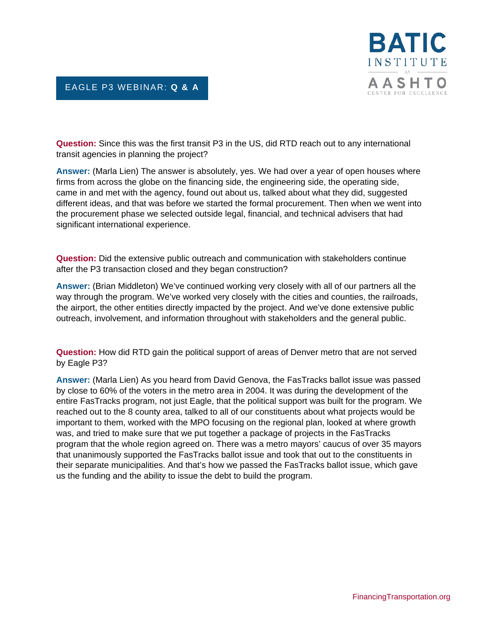

## EAGLE P3 WEBINAR: **Q & A**

**Question:** Since this was the first transit P3 in the US, did RTD reach out to any international transit agencies in planning the project?

**Answer:** (Marla Lien) The answer is absolutely, yes. We had over a year of open houses where firms from across the globe on the financing side, the engineering side, the operating side, came in and met with the agency, found out about us, talked about what they did, suggested different ideas, and that was before we started the formal procurement. Then when we went into the procurement phase we selected outside legal, financial, and technical advisers that had significant international experience.

**Question:** Did the extensive public outreach and communication with stakeholders continue after the P3 transaction closed and they began construction?

**Answer:** (Brian Middleton) We've continued working very closely with all of our partners all the way through the program. We've worked very closely with the cities and counties, the railroads, the airport, the other entities directly impacted by the project. And we've done extensive public outreach, involvement, and information throughout with stakeholders and the general public.

**Question:** How did RTD gain the political support of areas of Denver metro that are not served by Eagle P3?

**Answer:** (Marla Lien) As you heard from David Genova, the FasTracks ballot issue was passed by close to 60% of the voters in the metro area in 2004. It was during the development of the entire FasTracks program, not just Eagle, that the political support was built for the program. We reached out to the 8 county area, talked to all of our constituents about what projects would be important to them, worked with the MPO focusing on the regional plan, looked at where growth was, and tried to make sure that we put together a package of projects in the FasTracks program that the whole region agreed on. There was a metro mayors' caucus of over 35 mayors that unanimously supported the FasTracks ballot issue and took that out to the constituents in their separate municipalities. And that's how we passed the FasTracks ballot issue, which gave us the funding and the ability to issue the debt to build the program.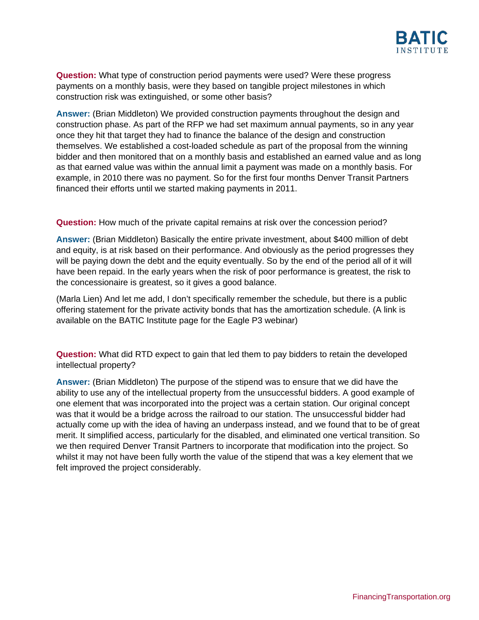

**Question:** What type of construction period payments were used? Were these progress payments on a monthly basis, were they based on tangible project milestones in which construction risk was extinguished, or some other basis?

**Answer:** (Brian Middleton) We provided construction payments throughout the design and construction phase. As part of the RFP we had set maximum annual payments, so in any year once they hit that target they had to finance the balance of the design and construction themselves. We established a cost-loaded schedule as part of the proposal from the winning bidder and then monitored that on a monthly basis and established an earned value and as long as that earned value was within the annual limit a payment was made on a monthly basis. For example, in 2010 there was no payment. So for the first four months Denver Transit Partners financed their efforts until we started making payments in 2011.

**Question:** How much of the private capital remains at risk over the concession period?

**Answer:** (Brian Middleton) Basically the entire private investment, about \$400 million of debt and equity, is at risk based on their performance. And obviously as the period progresses they will be paying down the debt and the equity eventually. So by the end of the period all of it will have been repaid. In the early years when the risk of poor performance is greatest, the risk to the concessionaire is greatest, so it gives a good balance.

(Marla Lien) And let me add, I don't specifically remember the schedule, but there is a public offering statement for the private activity bonds that has the amortization schedule. (A link is available on the BATIC Institute page for the Eagle P3 webinar)

**Question:** What did RTD expect to gain that led them to pay bidders to retain the developed intellectual property?

**Answer:** (Brian Middleton) The purpose of the stipend was to ensure that we did have the ability to use any of the intellectual property from the unsuccessful bidders. A good example of one element that was incorporated into the project was a certain station. Our original concept was that it would be a bridge across the railroad to our station. The unsuccessful bidder had actually come up with the idea of having an underpass instead, and we found that to be of great merit. It simplified access, particularly for the disabled, and eliminated one vertical transition. So we then required Denver Transit Partners to incorporate that modification into the project. So whilst it may not have been fully worth the value of the stipend that was a key element that we felt improved the project considerably.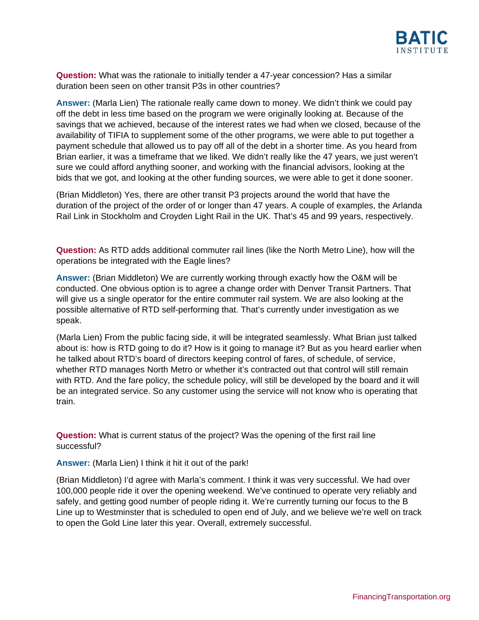

**Question:** What was the rationale to initially tender a 47-year concession? Has a similar duration been seen on other transit P3s in other countries?

**Answer:** (Marla Lien) The rationale really came down to money. We didn't think we could pay off the debt in less time based on the program we were originally looking at. Because of the savings that we achieved, because of the interest rates we had when we closed, because of the availability of TIFIA to supplement some of the other programs, we were able to put together a payment schedule that allowed us to pay off all of the debt in a shorter time. As you heard from Brian earlier, it was a timeframe that we liked. We didn't really like the 47 years, we just weren't sure we could afford anything sooner, and working with the financial advisors, looking at the bids that we got, and looking at the other funding sources, we were able to get it done sooner.

(Brian Middleton) Yes, there are other transit P3 projects around the world that have the duration of the project of the order of or longer than 47 years. A couple of examples, the Arlanda Rail Link in Stockholm and Croyden Light Rail in the UK. That's 45 and 99 years, respectively.

**Question:** As RTD adds additional commuter rail lines (like the North Metro Line), how will the operations be integrated with the Eagle lines?

**Answer:** (Brian Middleton) We are currently working through exactly how the O&M will be conducted. One obvious option is to agree a change order with Denver Transit Partners. That will give us a single operator for the entire commuter rail system. We are also looking at the possible alternative of RTD self-performing that. That's currently under investigation as we speak.

(Marla Lien) From the public facing side, it will be integrated seamlessly. What Brian just talked about is: how is RTD going to do it? How is it going to manage it? But as you heard earlier when he talked about RTD's board of directors keeping control of fares, of schedule, of service, whether RTD manages North Metro or whether it's contracted out that control will still remain with RTD. And the fare policy, the schedule policy, will still be developed by the board and it will be an integrated service. So any customer using the service will not know who is operating that train.

**Question:** What is current status of the project? Was the opening of the first rail line successful?

**Answer:** (Marla Lien) I think it hit it out of the park!

(Brian Middleton) I'd agree with Marla's comment. I think it was very successful. We had over 100,000 people ride it over the opening weekend. We've continued to operate very reliably and safely, and getting good number of people riding it. We're currently turning our focus to the B Line up to Westminster that is scheduled to open end of July, and we believe we're well on track to open the Gold Line later this year. Overall, extremely successful.